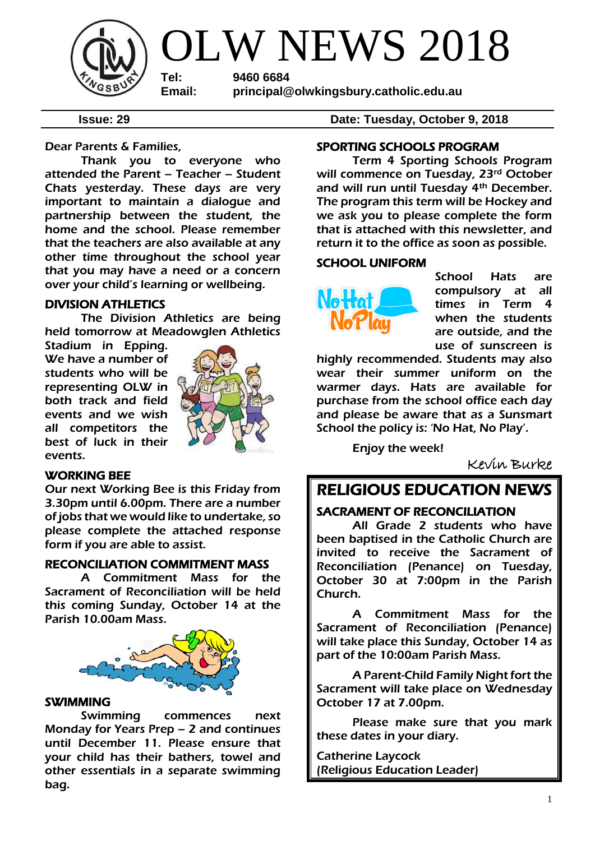

OLW NEWS 2018

**Tel: 9460 6684 Email: principal@olwkingsbury.catholic.edu.au**

**Issue: 29 Date: Tuesday, October 9, 2018**

Dear Parents & Families,

Thank you to everyone who attended the Parent – Teacher – Student Chats yesterday. These days are very important to maintain a dialogue and partnership between the student, the home and the school. Please remember that the teachers are also available at any other time throughout the school year that you may have a need or a concern over your child's learning or wellbeing.

# DIVISION ATHLETICS

The Division Athletics are being held tomorrow at Meadowglen Athletics

Stadium in Epping. We have a number of students who will be representing OLW in both track and field events and we wish all competitors the best of luck in their events.



# WORKING BEE

Our next Working Bee is this Friday from 3.30pm until 6.00pm. There are a number of jobs that we would like to undertake, so please complete the attached response form if you are able to assist.

# RECONCILIATION COMMITMENT MASS

A Commitment Mass for the Sacrament of Reconciliation will be held this coming Sunday, October 14 at the Parish 10.00am Mass.



#### SWIMMING

Swimming commences next Monday for Years Prep – 2 and continues until December 11. Please ensure that your child has their bathers, towel and other essentials in a separate swimming bag.

SPORTING SCHOOLS PROGRAM

 Term 4 Sporting Schools Program will commence on Tuesday, 23<sup>rd</sup> October and will run until Tuesday 4th December. The program this term will be Hockey and we ask you to please complete the form that is attached with this newsletter, and return it to the office as soon as possible.

#### SCHOOL UNIFORM



School Hats are compulsory at all times in Term 4 when the students are outside, and the use of sunscreen is

highly recommended. Students may also wear their summer uniform on the warmer days. Hats are available for purchase from the school office each day and please be aware that as a Sunsmart School the policy is: 'No Hat, No Play'.

Enjoy the week!

Kevin Burke

# RELIGIOUS EDUCATION NEWS

# SACRAMENT OF RECONCILIATION

All Grade 2 students who have been baptised in the Catholic Church are invited to receive the Sacrament of Reconciliation (Penance) on Tuesday, October 30 at 7:00pm in the Parish Church.

A Commitment Mass for the Sacrament of Reconciliation (Penance) will take place this Sunday, October 14 as part of the 10:00am Parish Mass.

A Parent-Child Family Night fort the Sacrament will take place on Wednesday October 17 at 7.00pm.

Please make sure that you mark these dates in your diary.

Catherine Laycock (Religious Education Leader)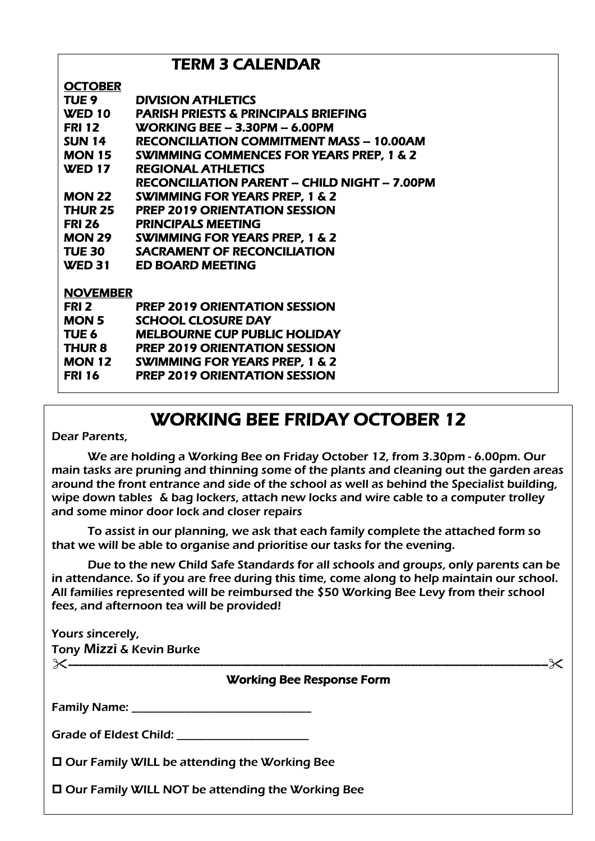# TERM 3 CALENDAR

# **OCTOBER**

| ---------       |                                                     |
|-----------------|-----------------------------------------------------|
| TUE 9           | <b>DIVISION ATHLETICS</b>                           |
| WED 10          | <b>PARISH PRIESTS &amp; PRINCIPALS BRIEFING</b>     |
| <b>FRI 12</b>   | WORKING BEE - 3.30PM - 6.00PM                       |
| <b>SUN 14</b>   | <b>RECONCILIATION COMMITMENT MASS - 10.00AM</b>     |
| <b>MON 15</b>   | <b>SWIMMING COMMENCES FOR YEARS PREP, 1 &amp; 2</b> |
| <b>WED 17</b>   | <b>REGIONAL ATHLETICS</b>                           |
|                 | <b>RECONCILIATION PARENT - CHILD NIGHT - 7.00PM</b> |
| <b>MON 22</b>   | <b>SWIMMING FOR YEARS PREP, 1 &amp; 2</b>           |
| THUR 25         | <b>PREP 2019 ORIENTATION SESSION</b>                |
| <b>FRI 26</b>   | <b>PRINCIPALS MEETING</b>                           |
| <b>MON 29</b>   | <b>SWIMMING FOR YEARS PREP, 1 &amp; 2</b>           |
| <b>TUE 30</b>   | <b>SACRAMENT OF RECONCILIATION</b>                  |
| <b>WED 31</b>   | <b>ED BOARD MEETING</b>                             |
|                 |                                                     |
| <b>NOVEMBER</b> |                                                     |
| FRI 2           | <b>PREP 2019 ORIENTATION SESSION</b>                |
| MON 5           | <b>SCHOOL CLOSURE DAY</b>                           |
| TUE 6           | <b>MELBOURNE CUP PUBLIC HOLIDAY</b>                 |
| <b>THUR 8</b>   | <b>PREP 2019 ORIENTATION SESSION</b>                |
| <b>MON 12</b>   | <b>SWIMMING FOR YEARS PREP, 1 &amp; 2</b>           |

# WORKING BEE FRIDAY OCTOBER 12

Dear Parents,

We are holding a Working Bee on Friday October 12, from 3.30pm - 6.00pm. Our main tasks are pruning and thinning some of the plants and cleaning out the garden areas around the front entrance and side of the school as well as behind the Specialist building, wipe down tables & bag lockers, attach new locks and wire cable to a computer trolley and some minor door lock and closer repairs

To assist in our planning, we ask that each family complete the attached form so that we will be able to organise and prioritise our tasks for the evening.

Due to the new Child Safe Standards for all schools and groups, only parents can be in attendance. So if you are free during this time, come along to help maintain our school. All families represented will be reimbursed the \$50 Working Bee Levy from their school fees, and afternoon tea will be provided!

 $100$  Days of Prep Celebration  $P$ Yours sincerely, Tony Mizzi & Kevin Burke

------------------------------------------------------------------------------------------------------------------------------------- Working Bee Response Form

| <b>Family Name:</b> |  |
|---------------------|--|
|---------------------|--|

Grade of Eldest Child: \_\_\_\_\_\_\_\_\_\_\_\_\_\_\_\_\_\_\_\_\_\_

□ Our Family WILL be attending the Working Bee

FRI 16 PREP 2019 ORIENTATION SESSION

□ Our Family WILL NOT be attending the Working Bee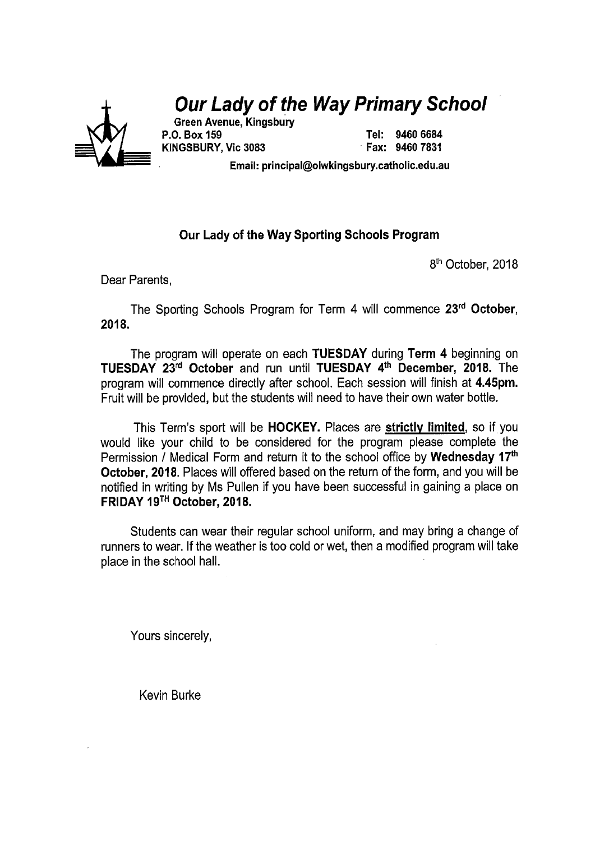# **Our Lady of the Way Primary School**



**Green Avenue, Kingsbury** P.O. Box 159 KINGSBURY, Vic 3083

Tel: 9460 6684 Fax: 9460 7831

Email: principal@olwkingsbury.catholic.edu.au

# Our Lady of the Way Sporting Schools Program

8<sup>th</sup> October, 2018

Dear Parents.

The Sporting Schools Program for Term 4 will commence 23rd October, 2018.

The program will operate on each TUESDAY during Term 4 beginning on TUESDAY 23rd October and run until TUESDAY 4th December, 2018. The program will commence directly after school. Each session will finish at 4.45pm. Fruit will be provided, but the students will need to have their own water bottle.

This Term's sport will be HOCKEY. Places are strictly limited, so if you would like your child to be considered for the program please complete the Permission / Medical Form and return it to the school office by Wednesday 17<sup>th</sup> **October, 2018.** Places will offered based on the return of the form, and you will be notified in writing by Ms Pullen if you have been successful in gaining a place on FRIDAY 19TH October, 2018.

Students can wear their regular school uniform, and may bring a change of runners to wear. If the weather is too cold or wet, then a modified program will take place in the school hall.

Yours sincerely,

Kevin Burke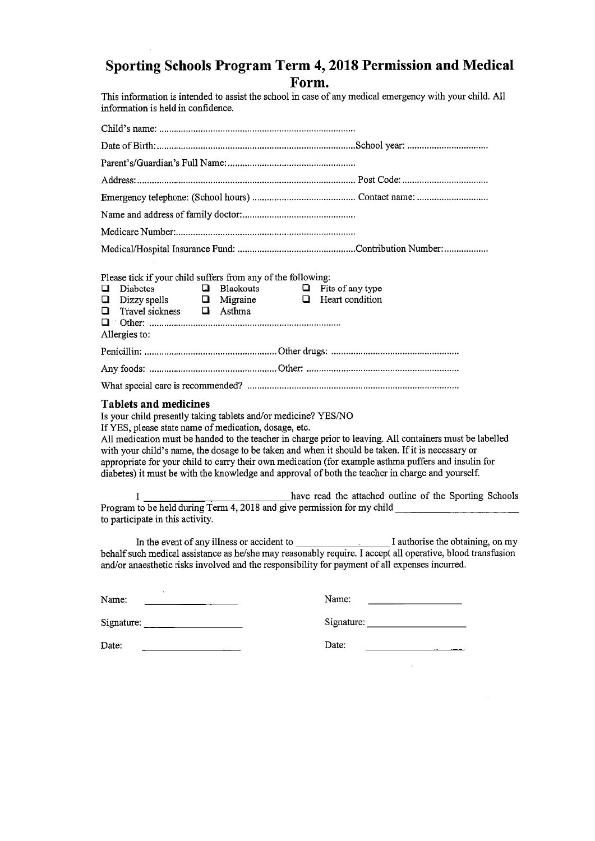# Sporting Schools Program Term 4, 2018 Permission and Medical Form.

This information is intended to assist the school in case of any medical emergency with your child. All information is held in confidence.

| Please tick if your child suffers from any of the following:<br>Q<br><b>Diabetes</b><br>$\Box$ Blackouts<br>Q.<br>Dizzy spells $\qquad \qquad \Box$ Migraine<br>Travel sickness $\qquad \Box$ Asthma<br>$\Box$<br>Allergies to: | $\Box$ Fits of any type<br>$\Box$ Heart condition                                                                                                                                                                                                                                                                                                                                                                         |
|---------------------------------------------------------------------------------------------------------------------------------------------------------------------------------------------------------------------------------|---------------------------------------------------------------------------------------------------------------------------------------------------------------------------------------------------------------------------------------------------------------------------------------------------------------------------------------------------------------------------------------------------------------------------|
|                                                                                                                                                                                                                                 |                                                                                                                                                                                                                                                                                                                                                                                                                           |
|                                                                                                                                                                                                                                 |                                                                                                                                                                                                                                                                                                                                                                                                                           |
|                                                                                                                                                                                                                                 |                                                                                                                                                                                                                                                                                                                                                                                                                           |
| <b>Tablets and medicines</b><br>Is your child presently taking tablets and/or medicine? YES/NO<br>If YES, please state name of medication, dosage, etc.                                                                         | All medication must be handed to the teacher in charge prior to leaving. All containers must be labelled<br>with your child's name, the dosage to be taken and when it should be taken. If it is necessary or<br>appropriate for your child to carry their own medication (for example asthma puffers and insulin for<br>diabetes) it must be with the knowledge and approval of both the teacher in charge and yourself. |
| $\mathbf{I}$ and $\mathbf{I}$<br>to participate in this activity.                                                                                                                                                               | have read the attached outline of the Sporting Schools<br>Program to be held during Term 4, 2018 and give permission for my child                                                                                                                                                                                                                                                                                         |
|                                                                                                                                                                                                                                 | In the event of any illness or accident to I authorise the obtaining, on my<br>behalf such medical assistance as he/she may reasonably require. I accept all operative, blood transfusion<br>and/or anaesthetic risks involved and the responsibility for payment of all expenses incurred.                                                                                                                               |
| Name:                                                                                                                                                                                                                           | Name:                                                                                                                                                                                                                                                                                                                                                                                                                     |
|                                                                                                                                                                                                                                 |                                                                                                                                                                                                                                                                                                                                                                                                                           |
|                                                                                                                                                                                                                                 |                                                                                                                                                                                                                                                                                                                                                                                                                           |

Date:

| Date: |  |
|-------|--|
|       |  |

 $\sim 10^{-1}$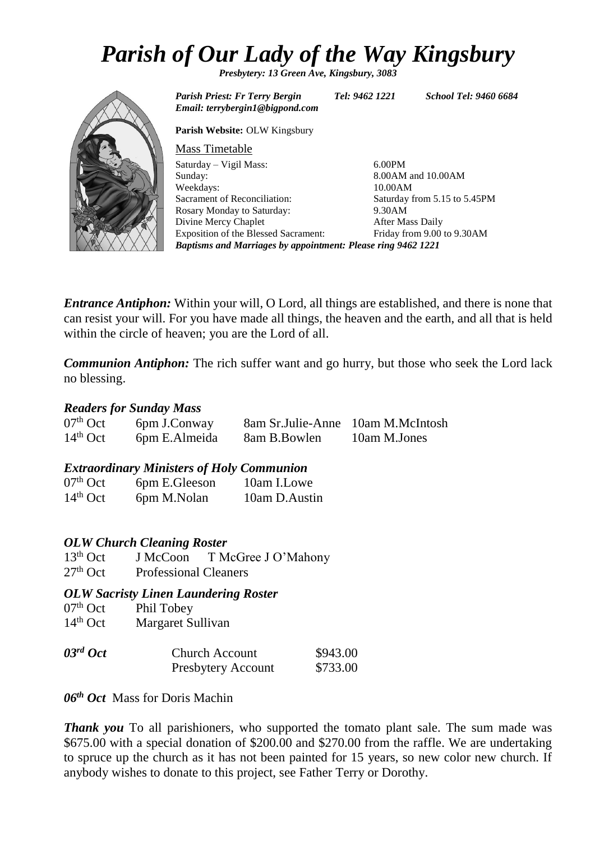# *Parish of Our Lady of the Way Kingsbury*

*Presbytery: 13 Green Ave, Kingsbury, 3083*



*Email: terrybergin1@bigpond.com* **Parish Website:** OLW Kingsbury Mass Timetable Saturday – Vigil Mass: Sunday: Weekdays: Sacrament of Reconciliation: Rosary Monday to Saturday: Divine Mercy Chaplet Exposition of the Blessed Sacrament: 6.00PM 8.00AM and 10.00AM 10.00AM Saturday from 5.15 to 5.45PM 9.30AM After Mass Daily Friday from 9.00 to 9.30AM *Baptisms and Marriages by appointment: Please ring 9462 1221*

*Entrance Antiphon:* Within your will, O Lord, all things are established, and there is none that can resist your will. For you have made all things, the heaven and the earth, and all that is held within the circle of heaven; you are the Lord of all.

*Communion Antiphon:* The rich suffer want and go hurry, but those who seek the Lord lack no blessing.

# *Readers for Sunday Mass*

| $07th$ Oct | 6pm J.Conway  | 8am Sr.Julie-Anne 10am M.McIntosh |              |
|------------|---------------|-----------------------------------|--------------|
| $14th$ Oct | 6pm E.Almeida | 8am B.Bowlen                      | 10am M.Jones |

# *Extraordinary Ministers of Holy Communion*

| $07th$ Oct | 6pm E.Gleeson | 10am I.Lowe   |
|------------|---------------|---------------|
| $14th$ Oct | 6pm M.Nolan   | 10am D.Austin |

# *OLW Church Cleaning Roster*

13<sup>th</sup> Oct J McCoon T McGree J O'Mahony 27<sup>th</sup> Oct Professional Cleaners

# *OLW Sacristy Linen Laundering Roster*

- $07<sup>th</sup>$  Oct Phil Tobey<br>14<sup>th</sup> Oct Margaret Su
- Margaret Sullivan

| $03^{rd}$ Oct | <b>Church Account</b>     | \$943.00 |
|---------------|---------------------------|----------|
|               | <b>Presbytery Account</b> | \$733.00 |

*06th Oct* Mass for Doris Machin

*Thank you* To all parishioners, who supported the tomato plant sale. The sum made was \$675.00 with a special donation of \$200.00 and \$270.00 from the raffle. We are undertaking to spruce up the church as it has not been painted for 15 years, so new color new church. If anybody wishes to donate to this project, see Father Terry or Dorothy.